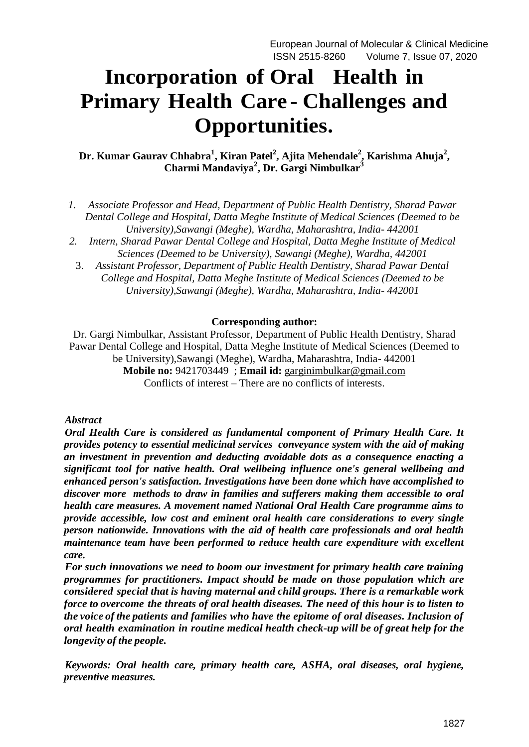# **Incorporation of Oral Health in Primary Health Care - Challenges and Opportunities.**

**Dr. Kumar Gaurav Chhabra<sup>1</sup> , Kiran Patel<sup>2</sup> , Ajita Mehendale<sup>2</sup> , Karishma Ahuja<sup>2</sup> , Charmi Mandaviya<sup>2</sup> , Dr. Gargi Nimbulkar<sup>3</sup>**

- *1. Associate Professor and Head, Department of Public Health Dentistry, Sharad Pawar Dental College and Hospital, Datta Meghe Institute of Medical Sciences (Deemed to be University),Sawangi (Meghe), Wardha, Maharashtra, India- 442001*
- *2. Intern, Sharad Pawar Dental College and Hospital, Datta Meghe Institute of Medical Sciences (Deemed to be University), Sawangi (Meghe), Wardha, 442001*
	- 3. *Assistant Professor, Department of Public Health Dentistry, Sharad Pawar Dental College and Hospital, Datta Meghe Institute of Medical Sciences (Deemed to be University),Sawangi (Meghe), Wardha, Maharashtra, India- 442001*

#### **Corresponding author:**

Dr. Gargi Nimbulkar, Assistant Professor, Department of Public Health Dentistry, Sharad Pawar Dental College and Hospital, Datta Meghe Institute of Medical Sciences (Deemed to be University),Sawangi (Meghe), Wardha, Maharashtra, India- 442001 **Mobile no:** 9421703449 ; **Email id:** [garginimbulkar@gmail.com](mailto:garginimbulkar@gmail.com) Conflicts of interest – There are no conflicts of interests.

#### *Abstract*

*Oral Health Care is considered as fundamental component of Primary Health Care. It provides potency to essential medicinal services conveyance system with the aid of making an investment in prevention and deducting avoidable dots as a consequence enacting a significant tool for native health. Oral wellbeing influence one's general wellbeing and enhanced person's satisfaction. Investigations have been done which have accomplished to discover more methods to draw in families and sufferers making them accessible to oral health care measures. A movement named National Oral Health Care programme aims to provide accessible, low cost and eminent oral health care considerations to every single person nationwide. Innovations with the aid of health care professionals and oral health maintenance team have been performed to reduce health care expenditure with excellent care.*

*For such innovations we need to boom our investment for primary health care training programmes for practitioners. Impact should be made on those population which are considered special that is having maternal and child groups. There is a remarkable work force to overcome the threats of oral health diseases. The need of this hour is to listen to the voice of the patients and families who have the epitome of oral diseases. Inclusion of oral health examination in routine medical health check-up will be of great help for the longevity of the people.*

*Keywords: Oral health care, primary health care, ASHA, oral diseases, oral hygiene, preventive measures.*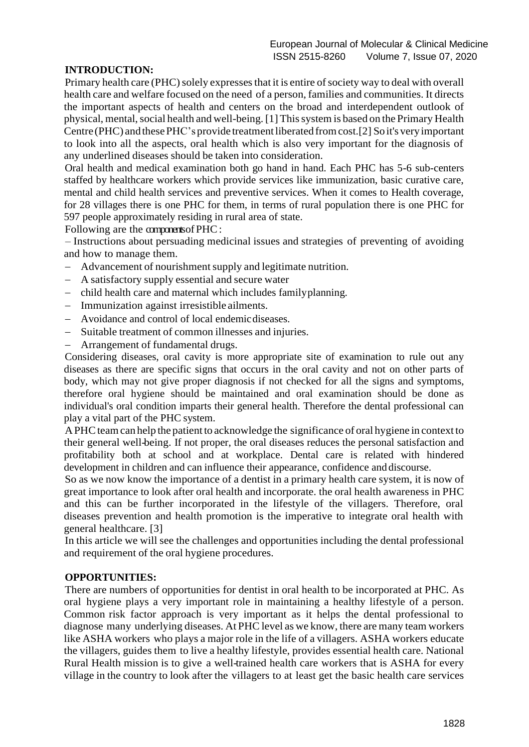## **INTRODUCTION:**

Primary health care (PHC) solely expresses that it is entire of society way to deal with overall health care and welfare focused on the need of a person, families and communities. It directs the important aspects of health and centers on the broad and interdependent outlook of physical, mental, social health and well-being. [1] This system is based on the Primary Health Centre (PHC) and these PHC's provide treatment liberated from cost.[2] So it's very important to look into all the aspects, oral health which is also very important for the diagnosis of any underlined diseases should be taken into consideration.

Oral health and medical examination both go hand in hand. Each PHC has 5-6 sub-centers staffed by healthcare workers which provide services like immunization, basic curative care, mental and child health services and preventive services. When it comes to Health coverage, for 28 villages there is one PHC for them, in terms of rural population there is one PHC for 597 people approximately residing in rural area of state.

Following are the components of PHC:

– Instructions about persuading medicinal issues and strategies of preventing of avoiding and how to manage them.

- Advancement of nourishment supply and legitimate nutrition.
- A satisfactory supply essential and secure water
- child health care and maternal which includes family planning.
- Immunization against irresistible ailments.
- Avoidance and control of local endemicdiseases.
- Suitable treatment of common illnesses and injuries.
- Arrangement of fundamental drugs.

Considering diseases, oral cavity is more appropriate site of examination to rule out any diseases as there are specific signs that occurs in the oral cavity and not on other parts of body, which may not give proper diagnosis if not checked for all the signs and symptoms, therefore oral hygiene should be maintained and oral examination should be done as individual's oral condition imparts their general health. Therefore the dental professional can play a vital part of the PHC system.

APHC team can help the patient to acknowledge the significance of oral hygiene in context to their general well-being. If not proper, the oral diseases reduces the personal satisfaction and profitability both at school and at workplace. Dental care is related with hindered development in children and can influence their appearance, confidence and discourse.

So as we now know the importance of a dentist in a primary health care system, it is now of great importance to look after oral health and incorporate. the oral health awareness in PHC and this can be further incorporated in the lifestyle of the villagers. Therefore, oral diseases prevention and health promotion is the imperative to integrate oral health with general healthcare. [3]

In this article we will see the challenges and opportunities including the dental professional and requirement of the oral hygiene procedures.

## **OPPORTUNITIES:**

There are numbers of opportunities for dentist in oral health to be incorporated at PHC. As oral hygiene plays a very important role in maintaining a healthy lifestyle of a person. Common risk factor approach is very important as it helps the dental professional to diagnose many underlying diseases. At PHC level as we know, there are many team workers like ASHA workers who plays a major role in the life of a villagers. ASHA workers educate the villagers, guides them to live a healthy lifestyle, provides essential health care. National Rural Health mission is to give a well-trained health care workers that is ASHA for every village in the country to look after the villagers to at least get the basic health care services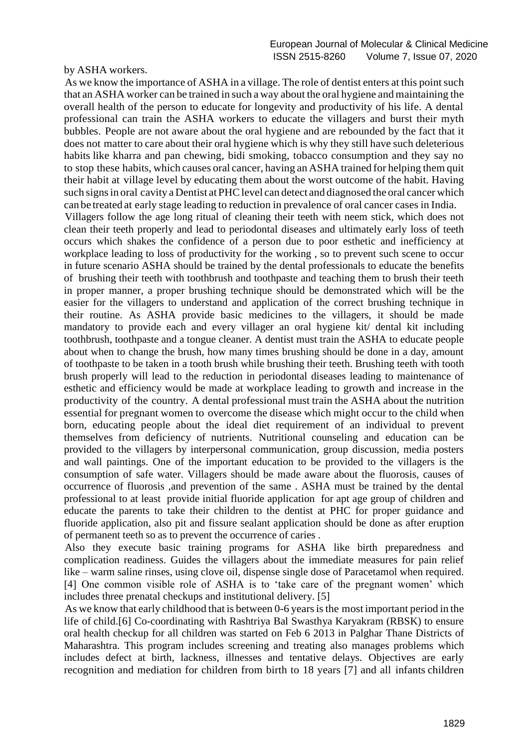by ASHA workers.

As we know the importance of ASHA in a village. The role of dentist enters at this point such that an ASHA worker can be trained in such a way about the oral hygiene and maintaining the overall health of the person to educate for longevity and productivity of his life. A dental professional can train the ASHA workers to educate the villagers and burst their myth bubbles. People are not aware about the oral hygiene and are rebounded by the fact that it does not matter to care about their oral hygiene which is why they still have such deleterious habits like kharra and pan chewing, bidi smoking, tobacco consumption and they say no to stop these habits, which causes oral cancer, having an ASHA trained for helping them quit their habit at village level by educating them about the worst outcome of the habit. Having such signs in oral cavity a Dentist at PHC level can detect and diagnosed the oral cancer which can be treated at early stage leading to reduction in prevalence of oral cancer cases in India. Villagers follow the age long ritual of cleaning their teeth with neem stick, which does not clean their teeth properly and lead to periodontal diseases and ultimately early loss of teeth occurs which shakes the confidence of a person due to poor esthetic and inefficiency at workplace leading to loss of productivity for the working , so to prevent such scene to occur in future scenario ASHA should be trained by the dental professionals to educate the benefits of brushing their teeth with toothbrush and toothpaste and teaching them to brush their teeth in proper manner, a proper brushing technique should be demonstrated which will be the easier for the villagers to understand and application of the correct brushing technique in their routine. As ASHA provide basic medicines to the villagers, it should be made mandatory to provide each and every villager an oral hygiene kit/ dental kit including toothbrush, toothpaste and a tongue cleaner. A dentist must train the ASHA to educate people about when to change the brush, how many times brushing should be done in a day, amount of toothpaste to be taken in a tooth brush while brushing their teeth. Brushing teeth with tooth brush properly will lead to the reduction in periodontal diseases leading to maintenance of esthetic and efficiency would be made at workplace leading to growth and increase in the productivity of the country. A dental professional must train the ASHA about the nutrition essential for pregnant women to overcome the disease which might occur to the child when born, educating people about the ideal diet requirement of an individual to prevent themselves from deficiency of nutrients. Nutritional counseling and education can be provided to the villagers by interpersonal communication, group discussion, media posters and wall paintings. One of the important education to be provided to the villagers is the consumption of safe water. Villagers should be made aware about the fluorosis, causes of occurrence of fluorosis ,and prevention of the same . ASHA must be trained by the dental professional to at least provide initial fluoride application for apt age group of children and educate the parents to take their children to the dentist at PHC for proper guidance and fluoride application, also pit and fissure sealant application should be done as after eruption of permanent teeth so as to prevent the occurrence of caries .

Also they execute basic training programs for ASHA like birth preparedness and complication readiness. Guides the villagers about the immediate measures for pain relief like – warm saline rinses, using clove oil, dispense single dose of Paracetamol when required. [4] One common visible role of ASHA is to 'take care of the pregnant women' which includes three prenatal checkups and institutional delivery. [5]

As we know that early childhood that is between 0-6 years is the most important period in the life of child.[6] Co-coordinating with Rashtriya Bal Swasthya Karyakram (RBSK) to ensure oral health checkup for all children was started on Feb 6 2013 in Palghar Thane Districts of Maharashtra. This program includes screening and treating also manages problems which includes defect at birth, lackness, illnesses and tentative delays. Objectives are early recognition and mediation for children from birth to 18 years [7] and all infants children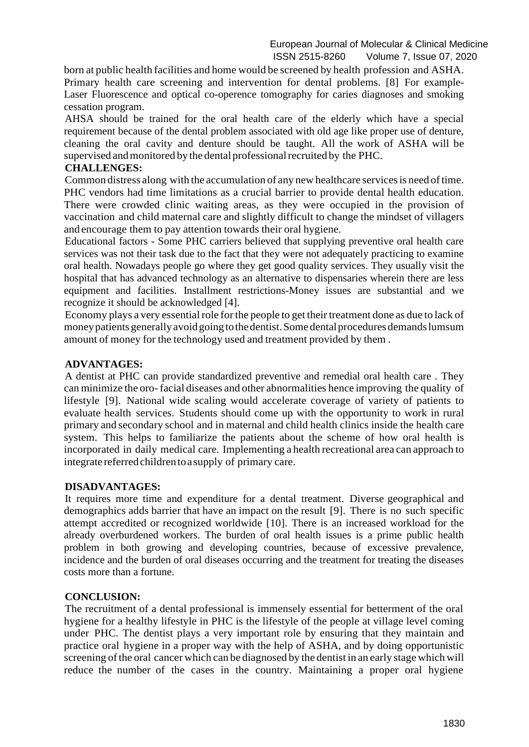born at public health facilities and home would be screened by health profession and ASHA. Primary health care screening and intervention for dental problems. [8] For example-Laser Fluorescence and optical co-operence tomography for caries diagnoses and smoking cessation program.

AHSA should be trained for the oral health care of the elderly which have a special requirement because of the dental problem associated with old age like proper use of denture, cleaning the oral cavity and denture should be taught. All the work of ASHA will be supervised and monitored by the dental professional recruited by the PHC.

#### **CHALLENGES:**

Common distress along with the accumulation of any new healthcare services is need of time. PHC vendors had time limitations as a crucial barrier to provide dental health education. There were crowded clinic waiting areas, as they were occupied in the provision of vaccination and child maternal care and slightly difficult to change the mindset of villagers and encourage them to pay attention towards their oral hygiene.

Educational factors - Some PHC carriers believed that supplying preventive oral health care services was not their task due to the fact that they were not adequately practicing to examine oral health. Nowadays people go where they get good quality services. They usually visit the hospital that has advanced technology as an alternative to dispensaries wherein there are less equipment and facilities. Installment restrictions-Money issues are substantial and we recognize it should be acknowledged [4].

Economy plays a very essential role for the people to get their treatment done as due to lack of money patients generally avoid going to the dentist. Some dental procedures demands lumsum amount of money for the technology used and treatment provided by them .

### **ADVANTAGES:**

A dentist at PHC can provide standardized preventive and remedial oral health care . They can minimize the oro-facial diseases and other abnormalities hence improving the quality of lifestyle [9]. National wide scaling would accelerate coverage of variety of patients to evaluate health services. Students should come up with the opportunity to work in rural primary and secondary school and in maternal and child health clinics inside the health care system. This helps to familiarize the patients about the scheme of how oral health is incorporated in daily medical care. Implementing a health recreational area can approach to integrate referredchildrentoa supply of primary care.

#### **DISADVANTAGES:**

It requires more time and expenditure for a dental treatment. Diverse geographical and demographics adds barrier that have an impact on the result [9]. There is no such specific attempt accredited or recognized worldwide [10]. There is an increased workload for the already overburdened workers. The burden of oral health issues is a prime public health problem in both growing and developing countries, because of excessive prevalence, incidence and the burden of oral diseases occurring and the treatment for treating the diseases costs more than a fortune.

#### **CONCLUSION:**

The recruitment of a dental professional is immensely essential for betterment of the oral hygiene for a healthy lifestyle in PHC is the lifestyle of the people at village level coming under PHC. The dentist plays a very important role by ensuring that they maintain and practice oral hygiene in a proper way with the help of ASHA, and by doing opportunistic screening of the oral cancer which can be diagnosed by the dentist in an early stage which will reduce the number of the cases in the country. Maintaining a proper oral hygiene